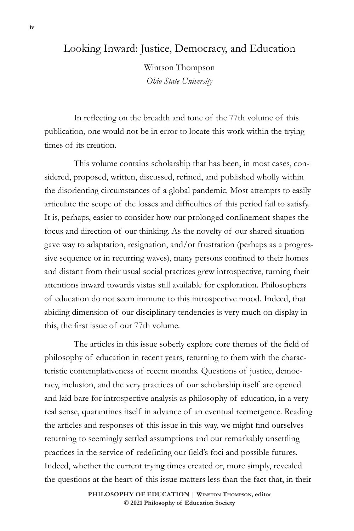## Looking Inward: Justice, Democracy, and Education

Wintson Thompson *Ohio State University*

In reflecting on the breadth and tone of the 77th volume of this publication, one would not be in error to locate this work within the trying times of its creation.

This volume contains scholarship that has been, in most cases, considered, proposed, written, discussed, refined, and published wholly within the disorienting circumstances of a global pandemic. Most attempts to easily articulate the scope of the losses and difficulties of this period fail to satisfy. It is, perhaps, easier to consider how our prolonged confinement shapes the focus and direction of our thinking. As the novelty of our shared situation gave way to adaptation, resignation, and/or frustration (perhaps as a progressive sequence or in recurring waves), many persons confined to their homes and distant from their usual social practices grew introspective, turning their attentions inward towards vistas still available for exploration. Philosophers of education do not seem immune to this introspective mood. Indeed, that abiding dimension of our disciplinary tendencies is very much on display in this, the first issue of our 77th volume.

The articles in this issue soberly explore core themes of the field of philosophy of education in recent years, returning to them with the characteristic contemplativeness of recent months. Questions of justice, democracy, inclusion, and the very practices of our scholarship itself are opened and laid bare for introspective analysis as philosophy of education, in a very real sense, quarantines itself in advance of an eventual reemergence. Reading the articles and responses of this issue in this way, we might find ourselves returning to seemingly settled assumptions and our remarkably unsettling practices in the service of redefining our field's foci and possible futures. Indeed, whether the current trying times created or, more simply, revealed the questions at the heart of this issue matters less than the fact that, in their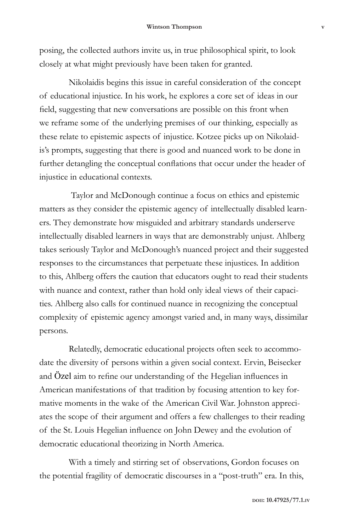posing, the collected authors invite us, in true philosophical spirit, to look closely at what might previously have been taken for granted.

Nikolaidis begins this issue in careful consideration of the concept of educational injustice. In his work, he explores a core set of ideas in our field, suggesting that new conversations are possible on this front when we reframe some of the underlying premises of our thinking, especially as these relate to epistemic aspects of injustice. Kotzee picks up on Nikolaidis's prompts, suggesting that there is good and nuanced work to be done in further detangling the conceptual conflations that occur under the header of injustice in educational contexts.

 Taylor and McDonough continue a focus on ethics and epistemic matters as they consider the epistemic agency of intellectually disabled learners. They demonstrate how misguided and arbitrary standards underserve intellectually disabled learners in ways that are demonstrably unjust. Ahlberg takes seriously Taylor and McDonough's nuanced project and their suggested responses to the circumstances that perpetuate these injustices. In addition to this, Ahlberg offers the caution that educators ought to read their students with nuance and context, rather than hold only ideal views of their capacities. Ahlberg also calls for continued nuance in recognizing the conceptual complexity of epistemic agency amongst varied and, in many ways, dissimilar persons.

Relatedly, democratic educational projects often seek to accommodate the diversity of persons within a given social context. Ervin, Beisecker and Özel aim to refine our understanding of the Hegelian influences in American manifestations of that tradition by focusing attention to key formative moments in the wake of the American Civil War. Johnston appreciates the scope of their argument and offers a few challenges to their reading of the St. Louis Hegelian influence on John Dewey and the evolution of democratic educational theorizing in North America.

With a timely and stirring set of observations, Gordon focuses on the potential fragility of democratic discourses in a "post-truth" era. In this,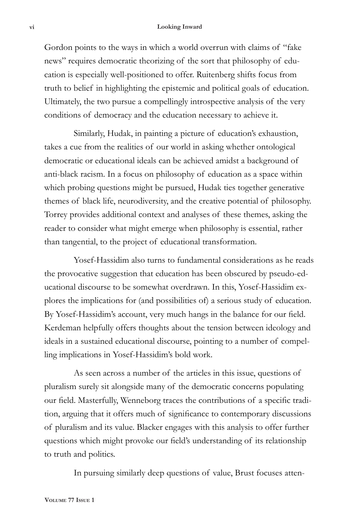## **vi Looking Inward**

Gordon points to the ways in which a world overrun with claims of "fake news" requires democratic theorizing of the sort that philosophy of education is especially well-positioned to offer. Ruitenberg shifts focus from truth to belief in highlighting the epistemic and political goals of education. Ultimately, the two pursue a compellingly introspective analysis of the very conditions of democracy and the education necessary to achieve it.

Similarly, Hudak, in painting a picture of education's exhaustion, takes a cue from the realities of our world in asking whether ontological democratic or educational ideals can be achieved amidst a background of anti-black racism. In a focus on philosophy of education as a space within which probing questions might be pursued, Hudak ties together generative themes of black life, neurodiversity, and the creative potential of philosophy. Torrey provides additional context and analyses of these themes, asking the reader to consider what might emerge when philosophy is essential, rather than tangential, to the project of educational transformation.

Yosef-Hassidim also turns to fundamental considerations as he reads the provocative suggestion that education has been obscured by pseudo-educational discourse to be somewhat overdrawn. In this, Yosef-Hassidim explores the implications for (and possibilities of) a serious study of education. By Yosef-Hassidim's account, very much hangs in the balance for our field. Kerdeman helpfully offers thoughts about the tension between ideology and ideals in a sustained educational discourse, pointing to a number of compelling implications in Yosef-Hassidim's bold work.

As seen across a number of the articles in this issue, questions of pluralism surely sit alongside many of the democratic concerns populating our field. Masterfully, Wenneborg traces the contributions of a specific tradition, arguing that it offers much of significance to contemporary discussions of pluralism and its value. Blacker engages with this analysis to offer further questions which might provoke our field's understanding of its relationship to truth and politics.

In pursuing similarly deep questions of value, Brust focuses atten-